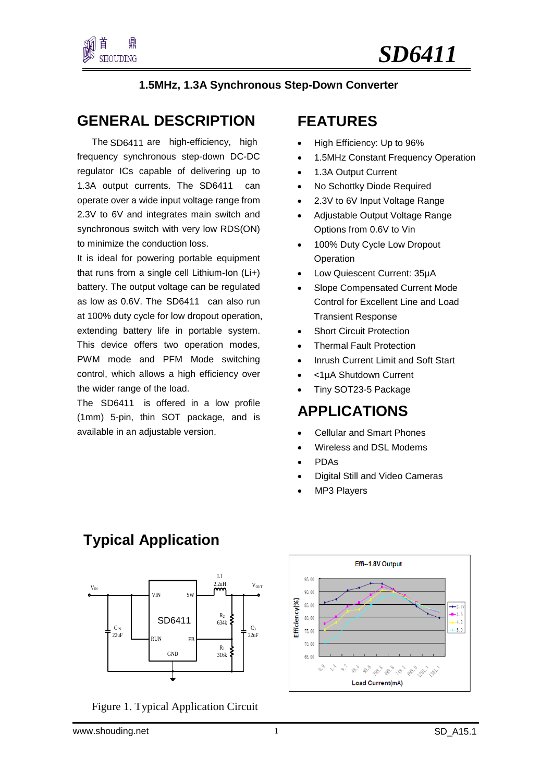

#### **1.5MHz, 1.3A Synchronous Step-Down Converter**

### **GENERAL DESCRIPTION**

1.3A output currents. The SD6411 can The SD6411 are high-efficiency, high frequency synchronous step-down DC-DC regulator ICs capable of delivering up to operate over a wide input voltage range from 2.3V to 6V and integrates main switch and synchronous switch with very low RDS(ON) to minimize the conduction loss.

as low as 0.6V. The SD6411 can also run It is ideal for powering portable equipment that runs from a single cell Lithium-Ion (Li+) battery. The output voltage can be regulated at 100% duty cycle for low dropout operation, extending battery life in portable system. This device offers two operation modes, PWM mode and PFM Mode switching control, which allows a high efficiency over the wider range of the load.

The SD6411 is offered in a low profile (1mm) 5-pin, thin SOT package, and is available in an adjustable version.

### **FEATURES**

- High Efficiency: Up to 96%
- 1.5MHz Constant Frequency Operation
- 1.3A Output Current
- No Schottky Diode Required
- 2.3V to 6V Input Voltage Range
- Adjustable Output Voltage Range Options from 0.6V to Vin
- 100% Duty Cycle Low Dropout Operation
- Low Quiescent Current: 35µA
- Slope Compensated Current Mode Control for Excellent Line and Load Transient Response
- **Short Circuit Protection**
- Thermal Fault Protection
- Inrush Current Limit and Soft Start
- <1µA Shutdown Current
- Tiny SOT23-5 Package

### **APPLICATIONS**

- Cellular and Smart Phones
- Wireless and DSL Modems
- PDAs
- Digital Still and Video Cameras
- MP3 Players

### **Typical Application**



Figure 1. Typical Application Circuit

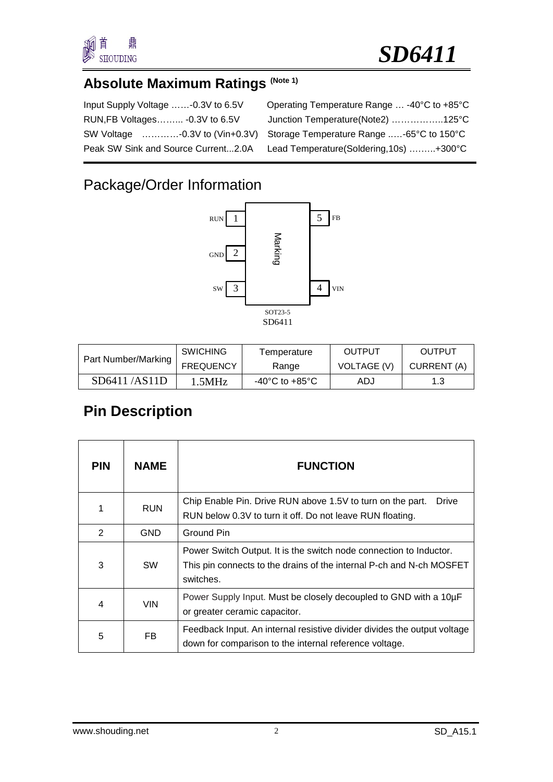

# **Absolute Maximum Ratings (Note 1)**

| Input Supply Voltage -0.3V to 6.5V  |
|-------------------------------------|
| RUN, FB Voltages - 0.3V to 6.5V     |
| SW Voltage -0.3V to (Vin+0.3V)      |
| Peak SW Sink and Source Current2.0A |

| Input Supply Voltage -0.3V to 6.5V | Operating Temperature Range  -40°C to +85°C                                |
|------------------------------------|----------------------------------------------------------------------------|
| RUN, FB Voltages - 0.3 V to 6.5 V  | Junction Temperature(Note2) 125°C                                          |
|                                    | SW Voltage -0.3V to (Vin+0.3V) Storage Temperature Range -65°C to 150°C    |
|                                    | Peak SW Sink and Source Current2.0A Lead Temperature(Soldering,10s) +300°C |
|                                    |                                                                            |

# Package/Order Information



| Part Number/Marking | <b>SWICHING</b>  | Temperature                        | OUTPUT      | OUTPUT      |
|---------------------|------------------|------------------------------------|-------------|-------------|
|                     | <b>FREQUENCY</b> | Range                              | VOLTAGE (V) | CURRENT (A) |
| SD6411/AS11D        | 1.5MHz           | $-40^{\circ}$ C to $+85^{\circ}$ C | ADJ         | 1.3         |

# **Pin Description**

| <b>PIN</b> | <b>NAME</b> | <b>FUNCTION</b>                                                                                                                                         |  |  |
|------------|-------------|---------------------------------------------------------------------------------------------------------------------------------------------------------|--|--|
|            | <b>RUN</b>  | Chip Enable Pin. Drive RUN above 1.5V to turn on the part.<br>Drive<br>RUN below 0.3V to turn it off. Do not leave RUN floating.                        |  |  |
| 2          | <b>GND</b>  | Ground Pin                                                                                                                                              |  |  |
| 3          | <b>SW</b>   | Power Switch Output. It is the switch node connection to Inductor.<br>This pin connects to the drains of the internal P-ch and N-ch MOSFET<br>switches. |  |  |
| 4          | <b>VIN</b>  | Power Supply Input. Must be closely decoupled to GND with a 10µF<br>or greater ceramic capacitor.                                                       |  |  |
| 5          | FB.         | Feedback Input. An internal resistive divider divides the output voltage<br>down for comparison to the internal reference voltage.                      |  |  |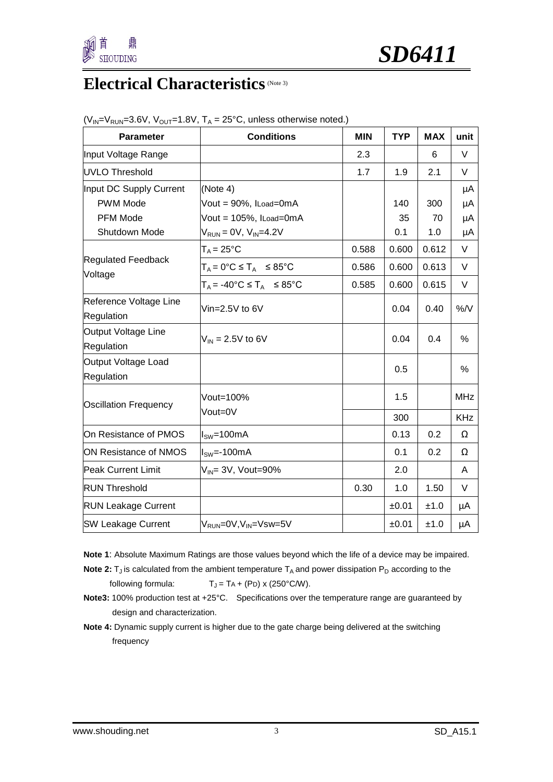

## **Electrical Characteristics** (Note 3)

| <b>Parameter</b>                     | <b>Conditions</b>                              | <b>MIN</b> | <b>TYP</b> | <b>MAX</b> | unit       |
|--------------------------------------|------------------------------------------------|------------|------------|------------|------------|
| Input Voltage Range                  |                                                | 2.3        |            | 6          | V          |
| UVLO Threshold                       |                                                | 1.7        | 1.9        | 2.1        | V          |
| Input DC Supply Current              | (Note 4)                                       |            |            |            | μA         |
| <b>PWM Mode</b>                      | Vout = 90%, ILoad=0mA                          |            | 140        | 300        | μA         |
| <b>PFM Mode</b>                      | Vout = 105%, ILoad=0mA                         |            | 35         | 70         | μA         |
| Shutdown Mode                        | $V_{RUN} = 0V$ , $V_{IN} = 4.2V$               |            | 0.1        | 1.0        | μA         |
|                                      | $T_A = 25$ °C                                  | 0.588      | 0.600      | 0.612      | V          |
| <b>Regulated Feedback</b><br>Voltage | $T_A = 0^\circ C \leq T_A \leq 85^\circ C$     | 0.586      | 0.600      | 0.613      | V          |
|                                      | $T_A = -40^{\circ}C \leq T_A \leq 85^{\circ}C$ | 0.585      | 0.600      | 0.615      | V          |
| Reference Voltage Line<br>Regulation | Vin= $2.5V$ to 6V                              |            | 0.04       | 0.40       | %N         |
| Output Voltage Line<br>Regulation    | $V_{\text{IN}} = 2.5V$ to 6V                   |            | 0.04       | 0.4        | %          |
| Output Voltage Load<br>Regulation    |                                                |            | 0.5        |            | %          |
| <b>Oscillation Frequency</b>         | Vout=100%                                      |            | 1.5        |            | <b>MHz</b> |
|                                      | Vout=0V                                        |            | 300        |            | <b>KHz</b> |
| On Resistance of PMOS                | l <sub>sw</sub> =100mA                         |            | 0.13       | 0.2        | Ω          |
| ON Resistance of NMOS                | $ISW=-100mA$                                   |            | 0.1        | 0.2        | Ω          |
| <b>Peak Current Limit</b>            | $V_{IN}$ = 3V, Vout=90%                        |            | 2.0        |            | A          |
| <b>RUN Threshold</b>                 |                                                | 0.30       | 1.0        | 1.50       | V          |
| <b>RUN Leakage Current</b>           |                                                |            | ±0.01      | ±1.0       | μA         |
| <b>SW Leakage Current</b>            | $V_{RUN} = 0V, V_{IN} = Vsw = 5V$              |            | ±0.01      | ±1.0       | μA         |

| $(V_{IN} = V_{RUN} = 3.6V, V_{OUT} = 1.8V, T_A = 25°C$ , unless otherwise noted.) |  |
|-----------------------------------------------------------------------------------|--|
|-----------------------------------------------------------------------------------|--|

- **Note 1**: Absolute Maximum Ratings are those values beyond which the life of a device may be impaired.
- **Note 2:**  $T_J$  is calculated from the ambient temperature  $T_A$  and power dissipation  $P_D$  according to the following formula:  $T_J = TA + (PD) \times (250^{\circ} \text{C/W}).$
- **Note3:** 100% production test at +25°C. Specifications over the temperature range are guaranteed by design and characterization.
- **Note 4:** Dynamic supply current is higher due to the gate charge being delivered at the switching frequency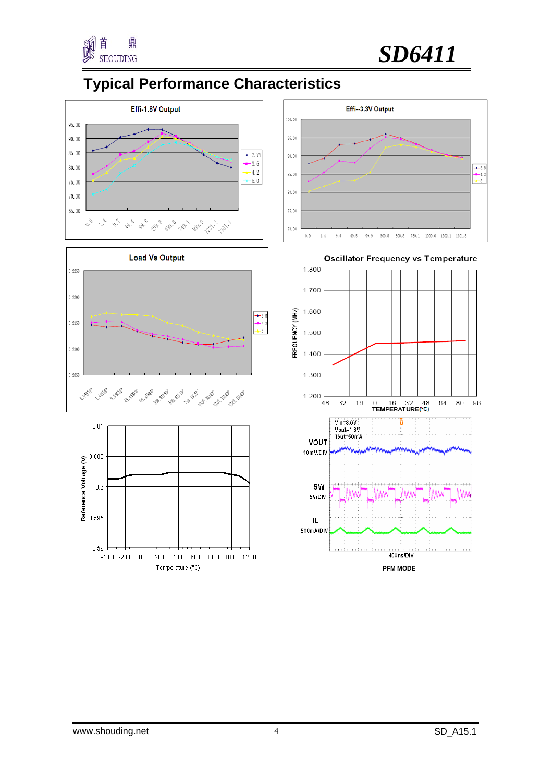



## **Typical Performance Characteristics**











**Oscillator Frequency vs Temperature**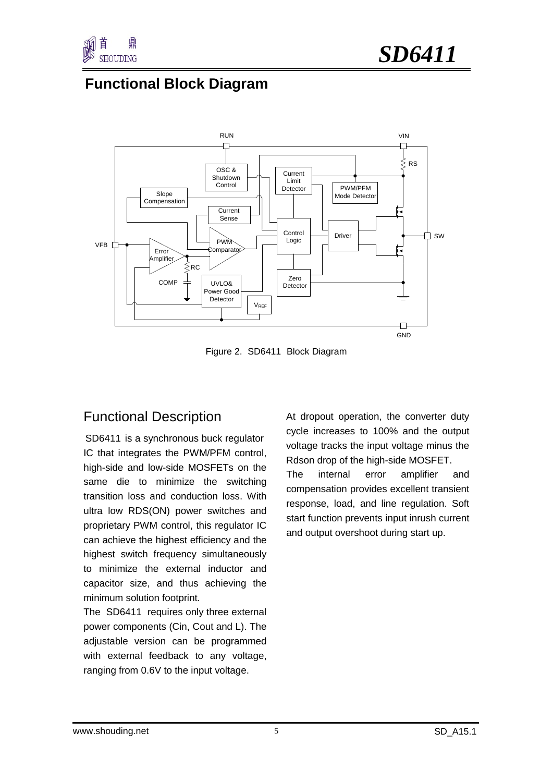

### **Functional Block Diagram**



Figure 2. SD6411 Block Diagram

### Functional Description

SD6411 is a synchronous buck regulator IC that integrates the PWM/PFM control, high-side and low-side MOSFETs on the same die to minimize the switching transition loss and conduction loss. With ultra low RDS(ON) power switches and proprietary PWM control, this regulator IC can achieve the highest efficiency and the highest switch frequency simultaneously to minimize the external inductor and capacitor size, and thus achieving the minimum solution footprint.

The SD6411 requires only three external power components (Cin, Cout and L). The adjustable version can be programmed with external feedback to any voltage, ranging from 0.6V to the input voltage.

At dropout operation, the converter duty cycle increases to 100% and the output voltage tracks the input voltage minus the Rdson drop of the high-side MOSFET. The internal error amplifier and compensation provides excellent transient response, load, and line regulation. Soft start function prevents input inrush current and output overshoot during start up.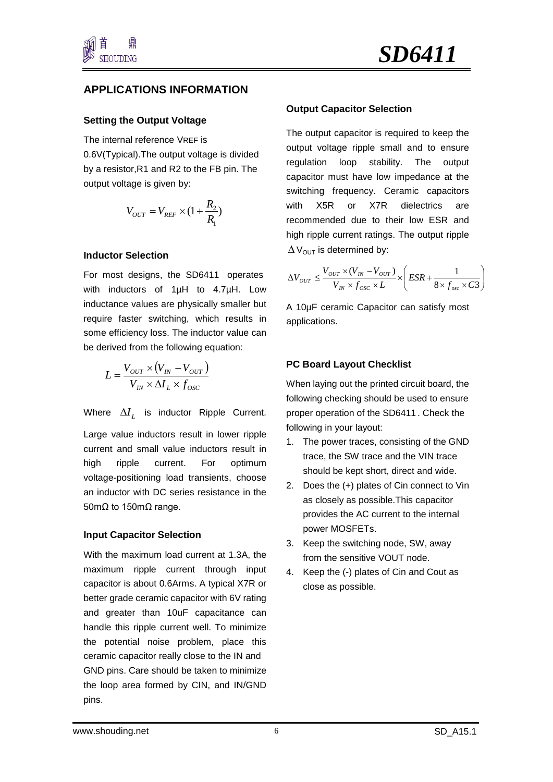

#### **APPLICATIONS INFORMATION**

#### **Setting the Output Voltage**

The internal reference VREF is 0.6V(Typical).The output voltage is divided by a resistor,R1 and R2 to the FB pin. The output voltage is given by:

$$
V_{OUT} = V_{REF} \times (1 + \frac{R_2}{R_1})
$$

#### **Inductor Selection**

For most designs, the SD6411 operates with inductors of 1µH to 4.7µH. Low inductance values are physically smaller but require faster switching, which results in some efficiency loss. The inductor value can be derived from the following equation:

$$
L = \frac{V_{OUT} \times (V_{IN} - V_{OUT})}{V_{IN} \times \Delta I_L \times f_{osc}}
$$

Where  $\Delta I$ <sub>*I*</sub> is inductor Ripple Current.

Large value inductors result in lower ripple current and small value inductors result in high ripple current. For optimum voltage-positioning load transients, choose an inductor with DC series resistance in the 50m $Ω$  to 150m $Ω$  range.

#### **Input Capacitor Selection**

With the maximum load current at 1.3A, the maximum ripple current through input capacitor is about 0.6Arms. A typical X7R or better grade ceramic capacitor with 6V rating and greater than 10uF capacitance can handle this ripple current well. To minimize the potential noise problem, place this ceramic capacitor really close to the IN and GND pins. Care should be taken to minimize the loop area formed by CIN, and IN/GND pins.

#### **Output Capacitor Selection**

The output capacitor is required to keep the output voltage ripple small and to ensure regulation loop stability. The output capacitor must have low impedance at the switching frequency. Ceramic capacitors with X5R or X7R dielectrics are recommended due to their low ESR and high ripple current ratings. The output ripple  $\Delta V_{\text{OUT}}$  is determined by:

$$
\Delta V_{OUT} \le \frac{V_{OUT} \times (V_{IN} - V_{OUT})}{V_{IN} \times f_{osc} \times L} \times \left(ESR + \frac{1}{8 \times f_{osc} \times C3}\right)
$$

A 10µF ceramic Capacitor can satisfy most applications.

#### **PC Board Layout Checklist**

proper operation of the SD6411. Check the When laying out the printed circuit board, the following checking should be used to ensure following in your layout:

- 1. The power traces, consisting of the GND trace, the SW trace and the VIN trace should be kept short, direct and wide.
- 2. Does the (+) plates of Cin connect to Vin as closely as possible.This capacitor provides the AC current to the internal power MOSFETs.
- 3. Keep the switching node, SW, away from the sensitive VOUT node.
- 4. Keep the (-) plates of Cin and Cout as close as possible.